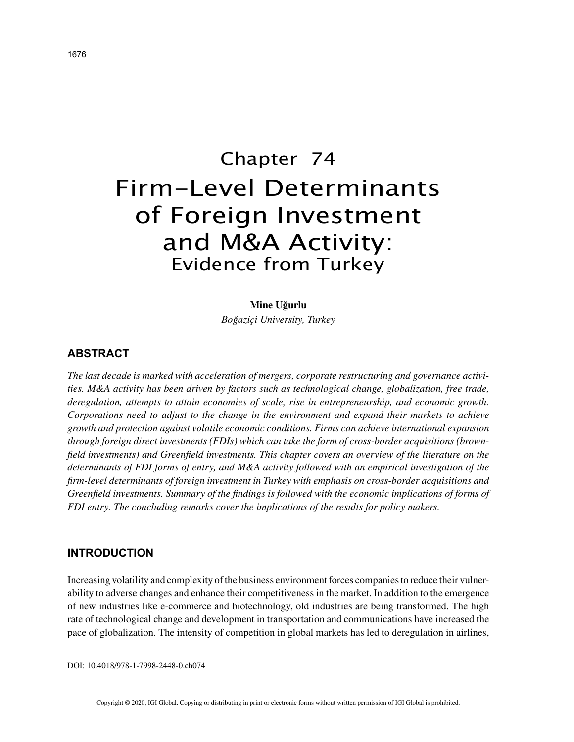# Chapter 74 Firm-Level Determinants of Foreign Investment and M&A Activity: Evidence from Turkey

### **Mine Uğurlu**

*Boğaziçi University, Turkey*

# **ABSTRACT**

*The last decade is marked with acceleration of mergers, corporate restructuring and governance activities. M&A activity has been driven by factors such as technological change, globalization, free trade, deregulation, attempts to attain economies of scale, rise in entrepreneurship, and economic growth. Corporations need to adjust to the change in the environment and expand their markets to achieve growth and protection against volatile economic conditions. Firms can achieve international expansion through foreign direct investments (FDIs) which can take the form of cross-border acquisitions (brownfield investments) and Greenfield investments. This chapter covers an overview of the literature on the determinants of FDI forms of entry, and M&A activity followed with an empirical investigation of the firm-level determinants of foreign investment in Turkey with emphasis on cross-border acquisitions and Greenfield investments. Summary of the findings is followed with the economic implications of forms of FDI entry. The concluding remarks cover the implications of the results for policy makers.*

## **INTRODUCTION**

Increasing volatility and complexity of the business environment forces companies to reduce their vulnerability to adverse changes and enhance their competitiveness in the market. In addition to the emergence of new industries like e-commerce and biotechnology, old industries are being transformed. The high rate of technological change and development in transportation and communications have increased the pace of globalization. The intensity of competition in global markets has led to deregulation in airlines,

DOI: 10.4018/978-1-7998-2448-0.ch074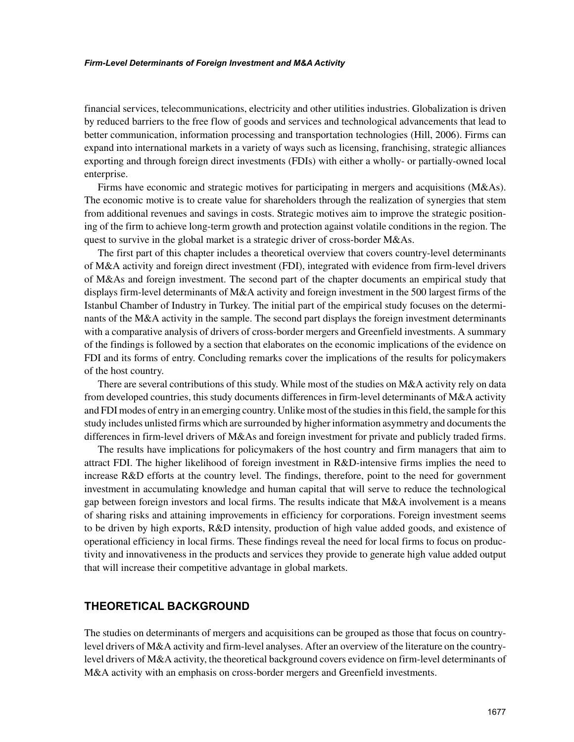#### *Firm-Level Determinants of Foreign Investment and M&A Activity*

financial services, telecommunications, electricity and other utilities industries. Globalization is driven by reduced barriers to the free flow of goods and services and technological advancements that lead to better communication, information processing and transportation technologies (Hill, 2006). Firms can expand into international markets in a variety of ways such as licensing, franchising, strategic alliances exporting and through foreign direct investments (FDIs) with either a wholly- or partially-owned local enterprise.

Firms have economic and strategic motives for participating in mergers and acquisitions (M&As). The economic motive is to create value for shareholders through the realization of synergies that stem from additional revenues and savings in costs. Strategic motives aim to improve the strategic positioning of the firm to achieve long-term growth and protection against volatile conditions in the region. The quest to survive in the global market is a strategic driver of cross-border  $M&As.$ 

The first part of this chapter includes a theoretical overview that covers country-level determinants of M&A activity and foreign direct investment (FDI), integrated with evidence from firm-level drivers of M&As and foreign investment. The second part of the chapter documents an empirical study that displays firm-level determinants of M&A activity and foreign investment in the 500 largest firms of the Istanbul Chamber of Industry in Turkey. The initial part of the empirical study focuses on the determinants of the M&A activity in the sample. The second part displays the foreign investment determinants with a comparative analysis of drivers of cross-border mergers and Greenfield investments. A summary of the findings is followed by a section that elaborates on the economic implications of the evidence on FDI and its forms of entry. Concluding remarks cover the implications of the results for policymakers of the host country.

There are several contributions of this study. While most of the studies on M&A activity rely on data from developed countries, this study documents differences in firm-level determinants of M&A activity and FDI modes of entry in an emerging country. Unlike most of the studies in this field, the sample for this study includes unlisted firms which are surrounded by higher information asymmetry and documents the differences in firm-level drivers of M&As and foreign investment for private and publicly traded firms.

The results have implications for policymakers of the host country and firm managers that aim to attract FDI. The higher likelihood of foreign investment in R&D-intensive firms implies the need to increase R&D efforts at the country level. The findings, therefore, point to the need for government investment in accumulating knowledge and human capital that will serve to reduce the technological gap between foreign investors and local firms. The results indicate that M&A involvement is a means of sharing risks and attaining improvements in efficiency for corporations. Foreign investment seems to be driven by high exports, R&D intensity, production of high value added goods, and existence of operational efficiency in local firms. These findings reveal the need for local firms to focus on productivity and innovativeness in the products and services they provide to generate high value added output that will increase their competitive advantage in global markets.

# **THEORETICAL BACKGROUND**

The studies on determinants of mergers and acquisitions can be grouped as those that focus on countrylevel drivers of M&A activity and firm-level analyses. After an overview of the literature on the countrylevel drivers of M&A activity, the theoretical background covers evidence on firm-level determinants of M&A activity with an emphasis on cross-border mergers and Greenfield investments.